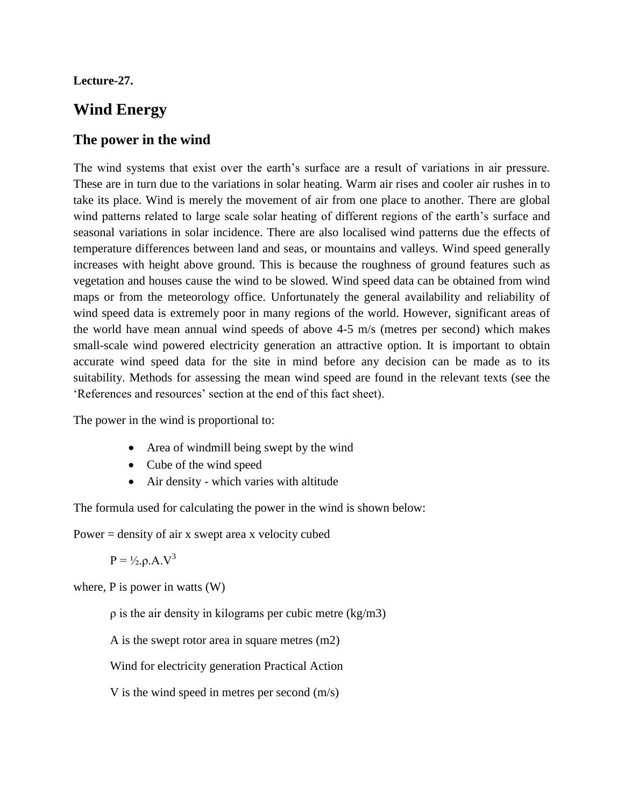#### **Lecture-27.**

# **Wind Energy**

## **The power in the wind**

The wind systems that exist over the earth's surface are a result of variations in air pressure. These are in turn due to the variations in solar heating. Warm air rises and cooler air rushes in to take its place. Wind is merely the movement of air from one place to another. There are global wind patterns related to large scale solar heating of different regions of the earth's surface and seasonal variations in solar incidence. There are also localised wind patterns due the effects of temperature differences between land and seas, or mountains and valleys. Wind speed generally increases with height above ground. This is because the roughness of ground features such as vegetation and houses cause the wind to be slowed. Wind speed data can be obtained from wind maps or from the meteorology office. Unfortunately the general availability and reliability of wind speed data is extremely poor in many regions of the world. However, significant areas of the world have mean annual wind speeds of above 4-5 m/s (metres per second) which makes small-scale wind powered electricity generation an attractive option. It is important to obtain accurate wind speed data for the site in mind before any decision can be made as to its suitability. Methods for assessing the mean wind speed are found in the relevant texts (see the 'References and resources' section at the end of this fact sheet).

The power in the wind is proportional to:

- Area of windmill being swept by the wind
- Cube of the wind speed
- Air density which varies with altitude

The formula used for calculating the power in the wind is shown below:

Power  $=$  density of air x swept area x velocity cubed

 $P = \frac{1}{2}$ .  $\rho A. V^3$ 

where, P is power in watts (W)

ρ is the air density in kilograms per cubic metre (kg/m3)

A is the swept rotor area in square metres (m2)

Wind for electricity generation Practical Action

V is the wind speed in metres per second (m/s)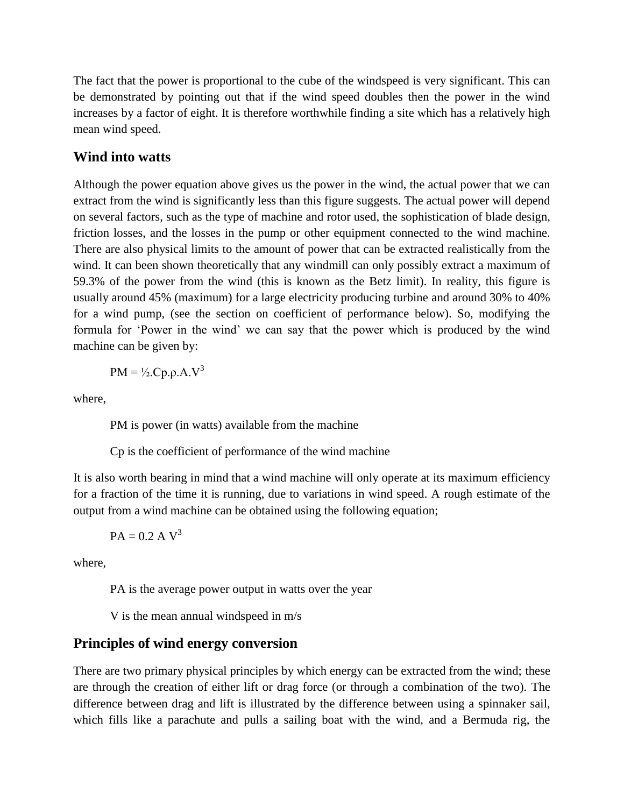The fact that the power is proportional to the cube of the windspeed is very significant. This can be demonstrated by pointing out that if the wind speed doubles then the power in the wind increases by a factor of eight. It is therefore worthwhile finding a site which has a relatively high mean wind speed.

#### **Wind into watts**

Although the power equation above gives us the power in the wind, the actual power that we can extract from the wind is significantly less than this figure suggests. The actual power will depend on several factors, such as the type of machine and rotor used, the sophistication of blade design, friction losses, and the losses in the pump or other equipment connected to the wind machine. There are also physical limits to the amount of power that can be extracted realistically from the wind. It can been shown theoretically that any windmill can only possibly extract a maximum of 59.3% of the power from the wind (this is known as the Betz limit). In reality, this figure is usually around 45% (maximum) for a large electricity producing turbine and around 30% to 40% for a wind pump, (see the section on coefficient of performance below). So, modifying the formula for 'Power in the wind' we can say that the power which is produced by the wind machine can be given by:

$$
PM = \frac{1}{2}Cp.p.A.V^3
$$

where,

PM is power (in watts) available from the machine

Cp is the coefficient of performance of the wind machine

It is also worth bearing in mind that a wind machine will only operate at its maximum efficiency for a fraction of the time it is running, due to variations in wind speed. A rough estimate of the output from a wind machine can be obtained using the following equation;

$$
PA = 0.2 \text{ A V}^3
$$

where,

PA is the average power output in watts over the year

V is the mean annual windspeed in m/s

#### **Principles of wind energy conversion**

There are two primary physical principles by which energy can be extracted from the wind; these are through the creation of either lift or drag force (or through a combination of the two). The difference between drag and lift is illustrated by the difference between using a spinnaker sail, which fills like a parachute and pulls a sailing boat with the wind, and a Bermuda rig, the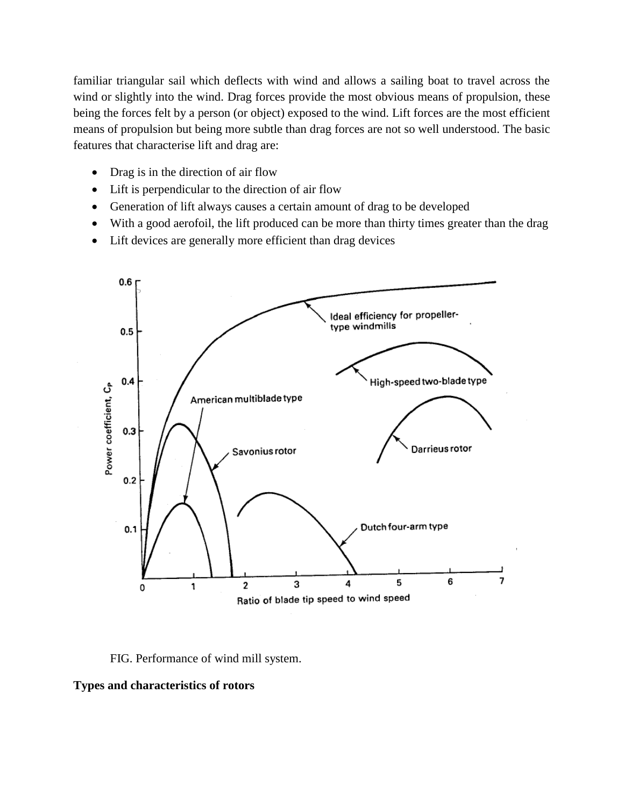familiar triangular sail which deflects with wind and allows a sailing boat to travel across the wind or slightly into the wind. Drag forces provide the most obvious means of propulsion, these being the forces felt by a person (or object) exposed to the wind. Lift forces are the most efficient means of propulsion but being more subtle than drag forces are not so well understood. The basic features that characterise lift and drag are:

- Drag is in the direction of air flow
- Lift is perpendicular to the direction of air flow
- Generation of lift always causes a certain amount of drag to be developed
- With a good aerofoil, the lift produced can be more than thirty times greater than the drag
- Lift devices are generally more efficient than drag devices



FIG. Performance of wind mill system.

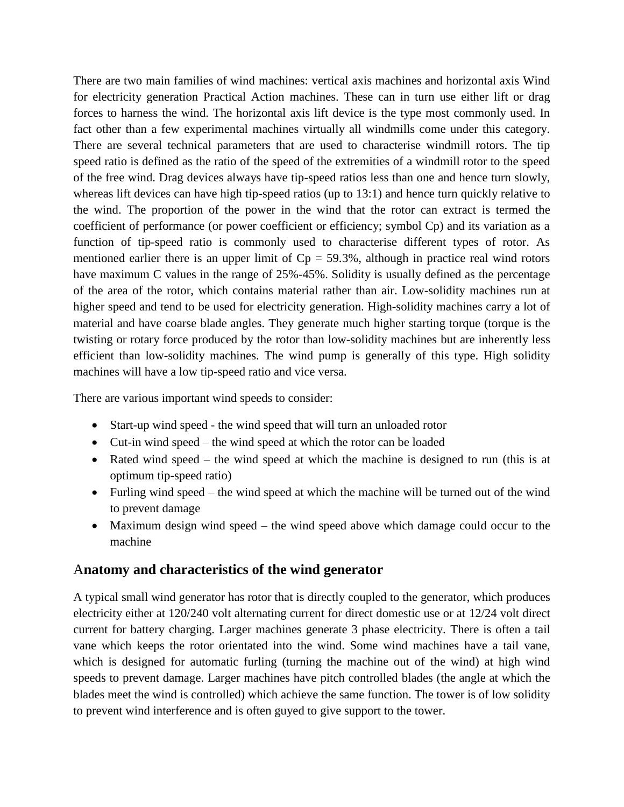There are two main families of wind machines: vertical axis machines and horizontal axis Wind for electricity generation Practical Action machines. These can in turn use either lift or drag forces to harness the wind. The horizontal axis lift device is the type most commonly used. In fact other than a few experimental machines virtually all windmills come under this category. There are several technical parameters that are used to characterise windmill rotors. The tip speed ratio is defined as the ratio of the speed of the extremities of a windmill rotor to the speed of the free wind. Drag devices always have tip-speed ratios less than one and hence turn slowly, whereas lift devices can have high tip-speed ratios (up to 13:1) and hence turn quickly relative to the wind. The proportion of the power in the wind that the rotor can extract is termed the coefficient of performance (or power coefficient or efficiency; symbol Cp) and its variation as a function of tip-speed ratio is commonly used to characterise different types of rotor. As mentioned earlier there is an upper limit of  $Cp = 59.3\%$ , although in practice real wind rotors have maximum C values in the range of 25%-45%. Solidity is usually defined as the percentage of the area of the rotor, which contains material rather than air. Low-solidity machines run at higher speed and tend to be used for electricity generation. High-solidity machines carry a lot of material and have coarse blade angles. They generate much higher starting torque (torque is the twisting or rotary force produced by the rotor than low-solidity machines but are inherently less efficient than low-solidity machines. The wind pump is generally of this type. High solidity machines will have a low tip-speed ratio and vice versa.

There are various important wind speeds to consider:

- Start-up wind speed the wind speed that will turn an unloaded rotor
- Cut-in wind speed the wind speed at which the rotor can be loaded
- Rated wind speed the wind speed at which the machine is designed to run (this is at optimum tip-speed ratio)
- Furling wind speed the wind speed at which the machine will be turned out of the wind to prevent damage
- Maximum design wind speed the wind speed above which damage could occur to the machine

#### A**natomy and characteristics of the wind generator**

A typical small wind generator has rotor that is directly coupled to the generator, which produces electricity either at 120/240 volt alternating current for direct domestic use or at 12/24 volt direct current for battery charging. Larger machines generate 3 phase electricity. There is often a tail vane which keeps the rotor orientated into the wind. Some wind machines have a tail vane, which is designed for automatic furling (turning the machine out of the wind) at high wind speeds to prevent damage. Larger machines have pitch controlled blades (the angle at which the blades meet the wind is controlled) which achieve the same function. The tower is of low solidity to prevent wind interference and is often guyed to give support to the tower.